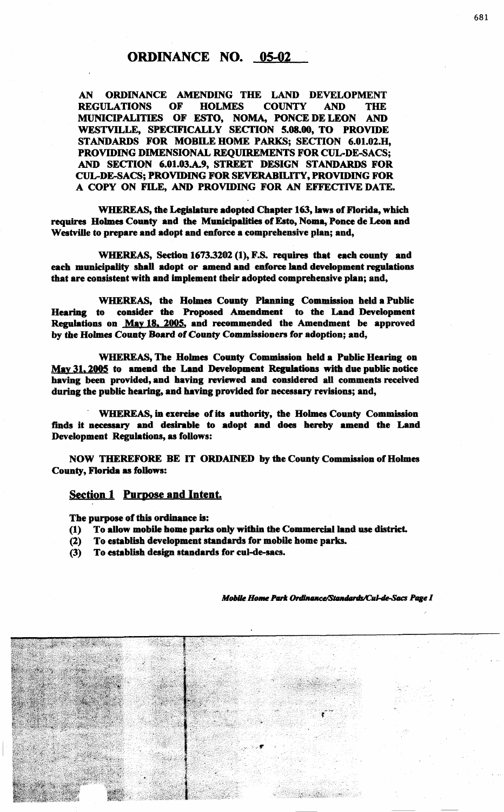AN ORDINANCE AMENDING THE LAND DEVELOPMENT REGULATIONS OF HOLMES COUNTY AND THE MUNICIPALITIES OF ESTO, NOMA, PONCE DE LEON AND WESTVILLE, SPECIFICALLY SECTION 5.08.00, TO PROVIDE STANDARDS FOR MOBILE HOME PARKS; SECTION 6.01.02.H, PROVIDING DIMENSIONAL REQUIREMENTS FOR CUL-DE-SACS; AND SECTION 6.01.03.A.9, STREET DESIGN STANDARDS FOR CUL-DE-SACS; PROVIDING FOR SEVERABILITY, PROVIDING FOR A COPY ON FILE, AND PROVIDING FOR AN EFFECTIVE DATE.

WHEREAS, the Legislature adopted Chapter 163, laws of Florida, which requires Holmes County and the Municipalities of Esto, Noma, Ponce de Leon and Westville to prepare and adopt and enforce a comprehensive plan; and,

WHEREAS, Section 1673.3202 (1), F.S. requires that each county and each municipality shall adopt or amend and enforce land development regulations that are consistent with and implement their adopted comprehensive plan; and,

WHEREAS, the Holmes County Planning Commission held a Public Hearing to consider the Proposed Amendment to the Land Development Regulations on May 18. 2005, and recommended the Amendment be approved by the Holmes County Board of County Commissioners for adoption; and,

WHEREAS, The Holmes County Commission held a Public Hearing on May 31, 2005 to amend the Land Development Regalations with due public notice having been provided, and having reviewed and considered all comments received during the public hearing, and having provided for necessary revisions; and,

WHEREAS, in exercise of its authority, the Holmes County Commission finds it necessuy and desirable to adopt and does hereby amend the Land Development Regulations, as follows:

NOW THEREFORE BE IT ORDAINED by the County Commission of Holmes County, Florida as follows:

## Section 1 Purpose and Intent.

The purpose of this ordinance is:

- (1) To allow mobile home parks only within the Commercial land use district.
- (2) To establish development standards for mobile home parks.
- (3) To establish design standards for cul-de-sacs.

Mobile Home Park Ordinance/Standards/Cul-de-Sacs Page I

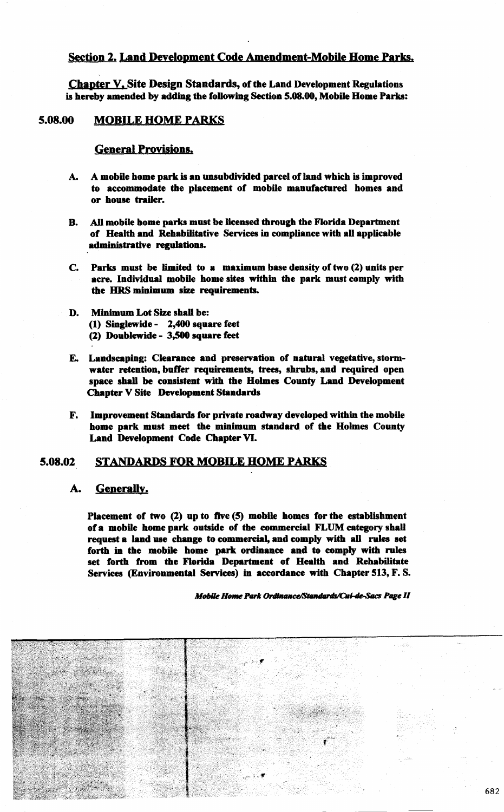## Section 2. Land Development Code Amendment-Mobile Home Parks.

Chapter V. Site Design Standards, of the Land Development Regulations is hereby amended by adding the following Section 5.08.M, Mobile Home Parks:

# S.08.00 MOBILE HOME PARKS

General Provisions.

- A. A mobile home park is an unsubdivided parcel of land which is improved to accommodate the placement of mobile manufactured homes and or house trailer.
- B. AU mobile home parks must be licensed through the Florida Department of Health and Rehabilitative Services in compliance with all applicable administrative regulations.
- C. Parks must be limited to a maximum base density of two (2) units per acre. Individual mobile home sites within the park must comply with the HRS minimum size requirements.
- D. Minimum Lot Size shall be: (1) Singlewide - 2,4M square feet (2) Doublewide - 3,500 square feet
- E. Landscaping: Clearance and preservation of natural vegetative, stormwater retention, buffer requirements, trees, shrubs, and required open space shall be consistent with the Holmes County Land Development Chapter V Site Development Standards
- F. Improvement Standards for private roadway developed within the mobile home park must meet the minimum standard of the Holmes County Land Development Code Chapter VI.

## S.08.02 STANDARDS FOR MOBILE HOME PARKS

## A. Generally.

Placement of two (2) up to five (5) mobile homes for the establishment of a mobile home park outside of the commercial FLUM category shall request a land use change to commereial, and comply with all rules set forth in the mobile home park ordinance and to comply with rules set forth from the Florida Department of Health and Rehabilitate Services (Environmental Services) in accordance with Chapter 513, F. S.

Mobile Home Park Ordinance/Standards/Cul-de-Sacs Page II

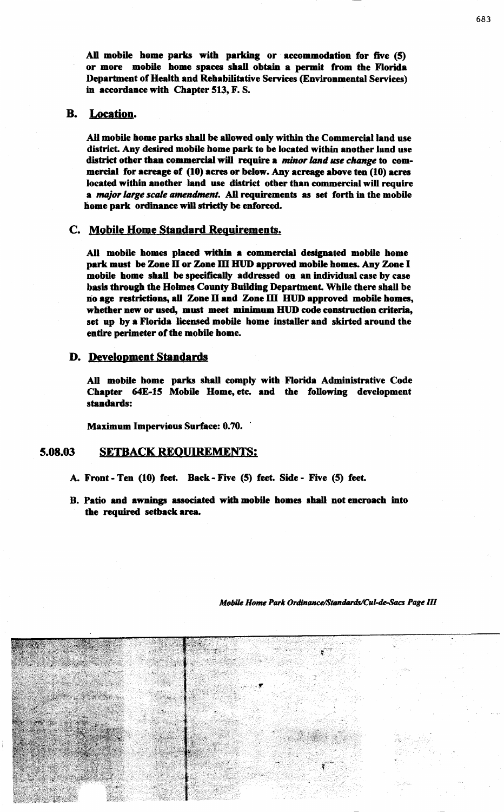All mobile home parks with parking or accommodation for five (5) or more mobile home spaces shall obtain a permit from the Florida Department of Health and Rehabilitative Services (Environmental Services) in accordance with Chapter 513, F. S.

## B. Location.

AU mobile home parks shall be allowed only within the Commercial land use district. Any desired mobile home park to be located within another land use district other than commercial will require a *minor land use change* to commercial for acreage of (10) acres or below. Any acreage above ten (10) acres located within another land use district other than commercial will require a *major large scale amendment.* All requirements as set forth in the mobile home park ordinance will strictly be enforced.

## C. Mobile Home Standard Requirements.

All mobile homes placed within a commercial designated mobile home park must be Zone II or Zone III HUD approved mobile homes. Any Zone I mobile home shall be specifically addressed on an individual case by case basis through the Holmes County Building Department. While there shall be no age restrictions, all Zone II and Zone III HUD approved mobile homes, whether new or used, must meet minimum. HUD code construction criteria, set up by a Florida licensed mobile home installer and skirted around the entire perimeter of the mobile home.

## D. Development Standards

All mobile home parks shall comply with Florida Administrative Code Chapter 64E-15 Mobile Home, etc. and the following development standards:

Maximum Impervious Surface: 0.70.

#### S.08.03 SETBACK REQUIREMENTS:

- A. Front Ten (10) feet. Back Five (S) feet. Side Five (S) feet.
- B. Patio and awnings associated with mobile homes shall not encroach into the required setback area.

*Mobile Home Park Ordinance/Standards/Cul-de-Sacs Page III* 

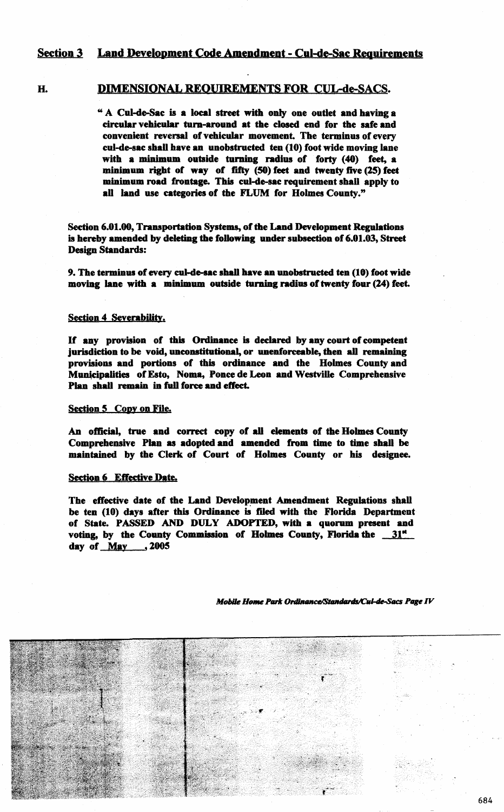## Section 3 Land Development Code Amendment - Cul-de-Sac Requirements

## H. DIMENSIONAL REQUIREMENTS FOR CUL-de-SACS.

" A Cul-de-Sac is a local street with only one outlet and having a circular vehicular turn-around at the dosed end for the safe and convenient reversal of vehicular movement. The terminus of every cul-de-sac shall have an unobstructed ten (10) foot wide moving lane with a minimum outside turning radius of forty (40) feet, a minimum right of way of fifty (50) feet and twenty five (25) feet minimum road frontage. This cul-de-sac requirement shall apply to all land use categories of the FLUM for Holmes County."

Section 6.01.00, Transportation Systems, of the Land Development Regulations is hereby amended by deleting the following under subsection of 6.01.03, Street Design Standards:

9. The terminus of every cul-de-sac shall have an unobstructed ten (10) foot wide moving lane with a minimum outside turning radius of twenty four (24) feet.

## Section 4 Severability.

If any provision of this Ordinance is declared by any court of competent jurisdiction to be void, unconstitutional, or unenforceable, then all remaining provisions and portions of this ordinance and the Holmes County and Municipalities of Esto, Noma, Ponce de Leon and Westville Comprehensive Plan shall remain in full force and effect.

## Section 5 Copy on File.

An official, true and correct copy of all elements of the Holmes County Comprehensive Plan as adopted and amended from time to time shall be maintained by the Clerk of Court of Holmes County or his designee.

### Section 6 Effective Date.

The effective date of the Land Development Amendment Regulations shall be ten (10) days after this Ordinance is filed with the Florida Department of State. PASSED AND DULY ADOPTED, with a quorum present and voting, by the County Commission of Holmes County, Florida the  $31<sup>st</sup>$ day of May , 2005

Mobile Home Park Ordinance/Standards/Cul-de-Sacs Page IV